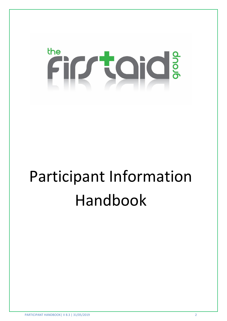# the Firraid:

## Participant Information Handbook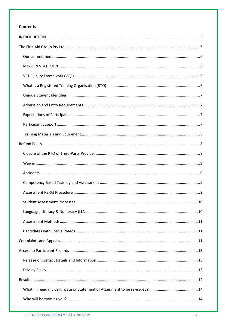### **Contents**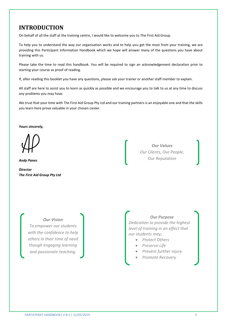## <span id="page-3-0"></span>**INTRODUCTION**

On behalf of all the staff at the training centre, I would like to welcome you to The First Aid Group.

To help you to understand the way our organisation works and to help you get the most from your training, we are providing this Participant Information Handbook which we hope will answer many of the questions you have about training with us.

Please take the time to read this handbook. You will be required to sign an acknowledgement declaration prior to starting your course as proof of reading.

If, after reading this booklet you have any questions, please ask your trainer or another staff member to explain.

All staff are here to assist you to learn as quickly as possible and we encourage you to talk to us at any time to discuss any problems you may have.

We trust that your time with The First Aid Group Pty Ltd and our training partners is an enjoyable one and that the skills you learn here prove valuable in your chosen career.

*Yours sincerely,*

*Andy Panes* 

*Director The First Aid Group Pty Ltd* 

*Our Values Our Clients, Our People, Our Reputation* 

*Our Vision To empower our students with the confidence to help* 

*others in their time of need though engaging learning and passionate teaching.* 

#### *Our Purpose*

*Dedication to provide the highest level of training in an effect that our students may;* 

- *Protect Others*
- *Preserve Life*
- *Prevent further injury*
- *Promote Recovery*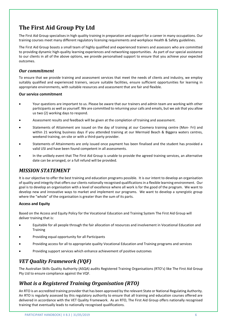## <span id="page-4-0"></span>**The First Aid Group Pty Ltd**

The First Aid Group specialises in high quality training in preparation and support for a career in many occupations. Our training courses meet many different regulatory licensing requirements and workplace Health & Safety guidelines.

The First Aid Group boasts a small team of highly qualified and experienced trainers and assessors who are committed to providing dynamic high-quality learning experiences and networking opportunities. As part of our special assistance to our clients in all of the above options, we provide personalised support to ensure that you achieve your expected outcomes.

#### <span id="page-4-1"></span>*Our commitment*

To ensure that we provide training and assessment services that meet the needs of clients and industry, we employ suitably qualified and experienced trainers, secure suitable facilities, ensure sufficient opportunities for learning in appropriate environments, with suitable resources and assessment that are fair and flexible.

#### **Our service commitment**

- Your questions are important to us. Please be aware that our trainers and admin team are working with other participants as well as yourself. We are committed to returning your calls and emails, but we ask that you allow us two (2) working days to respond.
- Assessment results and feedback will be given at the completion of training and assessment.
- Statements of Attainment are issued on the day of training at our Coomera training centre (Mon- Fri) and within 21 working business days if you attended training at our Mermaid Beach & Biggera waters centres, weekend training, on-site or with a third-party provider.
- Statements of Attainments are only issued once payment has been finalised and the student has provided a valid USI and have been found competent in all assessments.
- In the unlikely event that The First Aid Group is unable to provide the agreed training services, an alternative date can be arranged, or a full refund will be provided.

## <span id="page-4-2"></span>*MISSION STATEMENT*

It is our objective to offer the best training and education programs possible. It is our intent to develop an organisation of quality and integrity that offers our clients nationally recognised qualifications in a flexible learning environment. Our goal is to develop an organisation with a level of excellence where all work is for the good of the program. We want to develop new and innovative ways to market and implement our programs. We want to develop a synergistic group where the "whole" of the organisation is greater than the sum of its parts.

#### **Access and Equity**

Based on the Access and Equity Policy for the Vocational Education and Training System The First Aid Group will deliver training that is:

- Equitable for all people through the fair allocation of resources and involvement in Vocational Education and **Training**
- Providing equal opportunity for all Participants
- Providing access for all to appropriate quality Vocational Education and Training programs and services
- Providing support services which enhance achievement of positive outcomes

## <span id="page-4-3"></span>*VET Quality Framework (VQF)*

The Australian Skills Quality Authority (ASQA) audits Registered Training Organisations (RTO's) like The First Aid Group Pty Ltd to ensure compliance against the VQF.

## <span id="page-4-4"></span>*What is a Registered Training Organisation (RTO)*

An RTO is an accredited training provider that has been approved by the relevant State or National Regulating Authority. An RTO is regularly assessed by this regulatory authority to ensure that all training and education courses offered are delivered in accordance with the VET Quality Framework. As an RTO, The First Aid Group offers nationally recognised training that eventually leads to nationally recognised qualifications.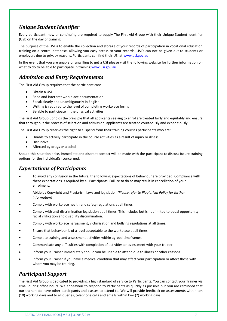## <span id="page-5-0"></span>*Unique Student Identifier*

Every participant, new or continuing are required to supply The First Aid Group with their Unique Student Identifier (USI) on the day of training.

The purpose of the USI is to enable the collection and storage of your records of participation in vocational education training on a central database, allowing you easy access to your records. USI's can not be given out to students or employers due to privacy reasons. Participants can find their USI at [www.usi.gov.au](http://www.usi.gov.au/) 

In the event that you are unable or unwilling to get a USI please visit the following website for further information on what to do to be able to participate in training www.usi.gov.au

## <span id="page-5-1"></span>*Admission and Entry Requirements*

The First Aid Group requires that the participant can:

- Obtain a USI
- Read and interpret workplace documentation
- Speak clearly and unambiguously in English
- Writing is required to the level of completing workplace forms
- Be able to participate in the physical activities

The First Aid Group upholds the principle that all applicants seeking to enrol are treated fairly and equitably and ensure that throughout the process of selection and admission, applicants are treated courteously and expeditiously.

The First Aid Group reserves the right to suspend from their training courses participants who are:

- Unable to actively participate in the course activities as a result of injury or illness
- **Disruptive**
- Affected by drugs or alcohol

Should this situation arise, immediate and discreet contact will be made with the participant to discuss future training options for the individual(s) concerned.

## <span id="page-5-2"></span>*Expectations of Participants*

- To avoid any confusion in the future, the following expectations of behaviour are provided. Compliance with these expectations is required by all Participants. Failure to do so may result in cancellation of your enrolment.
- Abide by Copyright and Plagiarism laws and legislation *(Please refer to Plagiarism Policy for further information)*
- Comply with workplace health and safety regulations at all times.
- Comply with anti-discrimination legislation at all times. This includes but is not limited to equal opportunity, racial vilification and disability discrimination.
- Comply with workplace harassment, victimisation and bullying regulations at all times.
- Ensure that behaviour is of a level acceptable to the workplace at all times.
- Complete training and assessment activities within agreed timeframes.
- Communicate any difficulties with completion of activities or assessment with your trainer.
- Inform your Trainer immediately should you be unable to attend due to illness or other reasons.
- Inform your Trainer if you have a medical condition that may affect your participation or affect those with whom you may be training.

## <span id="page-5-3"></span>*Participant Support*

The First Aid Group is dedicated to providing a high standard of service to Participants. You can contact your Trainer via email during office hours. We endeavour to respond to Participants as quickly as possible but you are reminded that our trainers do have other participants and classes to attend to. We will provide feedback on assessments within ten (10) working days and to all queries, telephone calls and emails within two (2) working days.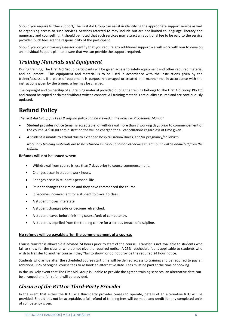Should you require further support, The First Aid Group can assist in identifying the appropriate support service as well as organising access to such services. Services referred to may include but are not limited to language, literacy and numeracy and counselling. It should be noted that such services may attract an additional fee to be paid to the service provider. Such fees are the responsibility of the participant.

Should you or your trainer/assessor identify that you require any additional support we will work with you to develop an Individual Support plan to ensure that we can provide the support required.

## <span id="page-6-0"></span>*Training Materials and Equipment*

During training, The First Aid Group participants will be given access to safety equipment and other required material and equipment. This equipment and material is to be used in accordance with the instructions given by the trainer/assessor. If a piece of equipment is purposely damaged or treated in a manner not in accordance with the instructions given by the trainer, a fee may be charged.

The copyright and ownership of all training material provided during the training belongs to The First Aid Group Pty Ltd and cannot be copied or claimed without written consent. All training materials are quality assured and are continuously updated.

## <span id="page-6-1"></span>**Refund Policy**

*The First Aid Group full Fees & Refund policy can be viewed in the Policy & Procedures Manual.* 

- Student provides notice (email is acceptable) of withdrawal more than 7 working days prior to commencement of the course. A \$10.00 administration fee will be charged for all cancellations regardless of time given.
- A student is unable to attend due to extended hospitalisation/illness, and/or pregnancy/childbirth.

*Note: any training materials are to be returned in initial condition otherwise this amount will be deducted from the refund.* 

#### **Refunds will not be issued when:**

- Withdrawal from course is less than 7 days prior to course commencement.
- Changes occur in student work hours.
- Changes occur in student's personal life.
- Student changes their mind and they have commenced the course.
- It becomes inconvenient for a student to travel to class.
- A student moves interstate.
- A student changes jobs or become retrenched.
- A student leaves before finishing course/unit of competency.
- A student is expelled from the training centre for a serious breach of discipline.

#### **No refunds will be payable after the commencement of a course.**

Course transfer is allowable if advised 24 hours prior to start of the course. Transfer is not available to students who fail to show for the class or who do not give the required notice. A 25% reschedule fee is applicable to students who wish to transfer to another course if they "fail to show" or do not provide the required 24 hour notice.

Students who arrive after the scheduled course start time will be denied access to training and be required to pay an additional 25% of original course fees to re book an alternative date. Fees must be paid at the time of booking.

In the unlikely event that The First Aid Group is unable to provide the agreed training services, an alternative date can be arranged or a full refund will be provided.

## <span id="page-6-2"></span>*Closure of the RTO or Third-Party Provider*

In the event that either the RTO or a third-party provider ceases to operate, details of an alternative RTO will be provided. Should this not be acceptable, a full refund of training fees will be made and credit for any completed units of competency given.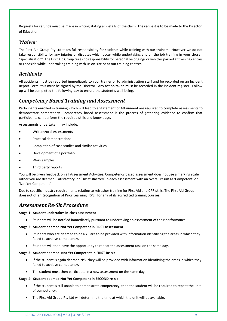Requests for refunds must be made in writing stating all details of the claim. The request is to be made to the Director of Education.

## <span id="page-7-0"></span>*Waiver*

The First Aid Group Pty Ltd takes full responsibility for students while training with our trainers. However we do not take responsibility for any injuries or disputes which occur while undertaking any on the job training in your chosen "specialisation". The First Aid Group takes no responsibility for personal belongings or vehicles parked at training centres or roadside while undertaking training with us on-site or at our training centres.

## <span id="page-7-1"></span>*Accidents*

All accidents must be reported immediately to your trainer or to administration staff and be recorded on an Incident Report Form, this must be signed by the Director. Any action taken must be recorded in the incident register. Follow up will be completed the following day to ensure the student's well-being.

## <span id="page-7-2"></span>*Competency Based Training and Assessment*

Participants enrolled in training which will lead to a Statement of Attainment are required to complete assessments to demonstrate competency. Competency based assessment is the process of gathering evidence to confirm that participants can perform the required skills and knowledge.

Assessments undertaken may include:

- Written/oral Assessments
- Practical demonstrations
- Completion of case studies and similar activities
- Development of a portfolio
- Work samples
- Third party reports

You will be given feedback on all Assessment Activities. Competency based assessment does not use a marking scale rather you are deemed 'Satisfactory' or 'Unsatisfactory' in each assessment with an overall result as 'Competent' or 'Not Yet Competent'

Due to specific industry requirements relating to refresher training for First Aid and CPR skills, The First Aid Group does not offer Recognition of Prior Learning (RPL) for any of its accredited training courses.

## <span id="page-7-3"></span>*Assessment Re-Sit Procedure*

#### **Stage 1: Student undertakes in-class assessment**

• Students will be notified immediately pursuant to undertaking an assessment of their performance

#### **Stage 2: Student deemed Not Yet Competent in FIRST assessment**

- Students who are deemed to be NYC are to be provided with information identifying the areas in which they failed to achieve competency.
- Students will then have the opportunity to repeat the assessment task on the same day.

#### **Stage 3: Student deemed Not Yet Competent in FIRST Re-sit**

- If the student is again deemed NYC they will be provided with information identifying the areas in which they failed to achieve competency.
- The student must then participate in a new assessment on the same day;

#### **Stage 4: Student deemed Not Yet Competent in SECOND re-sit**

- If the student is still unable to demonstrate competency, then the student will be required to repeat the unit of competency.
- The First Aid Group Pty Ltd will determine the time at which the unit will be available.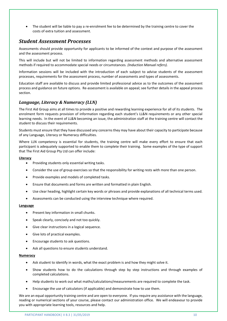The student will be liable to pay a re-enrolment fee to be determined by the training centre to cover the costs of extra tuition and assessment.

## <span id="page-8-0"></span>*Student Assessment Processes*

Assessments should provide opportunity for applicants to be informed of the context and purpose of the assessment and the assessment process.

This will include but will not be limited to information regarding assessment methods and alternative assessment methods if required to accommodate special needs or circumstances. *(Induction Manual refers).*

Information sessions will be included with the introduction of each subject to advise students of the assessment processes, requirements for the assessment process, number of assessments and types of assessments.

Education staff are available to discuss and provide limited professional advice as to the outcomes of the assessment process and guidance on future options. Re-assessment is available on appeal; see further details in the appeal process section.

#### <span id="page-8-1"></span>*Language, Literacy & Numeracy (LLN)*

The First Aid Group aims at all times to provide a positive and rewarding learning experience for all of its students. The enrolment form requests provision of information regarding each student's LL&N requirements or any other special learning needs. In the event of LL&N becoming an issue, the administration staff at the training centre will contact the student to discuss their requirements.

Students must ensure that they have discussed any concerns they may have about their capacity to participate because of any Language, Literacy or Numeracy difficulties.

Where LLN competency is essential for students, the training centre will make every effort to ensure that each participant is adequately supported to enable them to complete their training. Some examples of the type of support that The First Aid Group Pty Ltd can offer include:

#### **Literacy**

- Providing students only essential writing tasks.
- Consider the use of group exercises so that the responsibility for writing rests with more than one person.
- Provide examples and models of completed tasks.
- Ensure that documents and forms are written and formatted in plain English.
- Use clear heading, highlight certain key words or phrases and provide explanations of all technical terms used.
- Assessments can be conducted using the interview technique where required.

#### **Language**

- Present key information in small chunks.
- Speak clearly, concisely and not too quickly.
- Give clear instructions in a logical sequence.
- Give lots of practical examples.
- Encourage students to ask questions.
- Ask all questions to ensure students understand.

#### **Numeracy**

- Ask student to identify in words, what the exact problem is and how they might solve it.
- Show students how to do the calculations through step by step instructions and through examples of completed calculations.
- Help students to work out what maths/calculations/measurements are required to complete the task.
- Encourage the use of calculators (if applicable) and demonstrate how to use them.

We are an equal opportunity training centre and are open to everyone. If you require any assistance with the language, reading or numerical sections of your course, please contact our administration office. We will endeavour to provide you with appropriate learning tools, resources and help.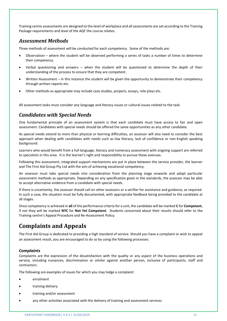Training centre assessments are designed to the level of workplace and all assessments are set according to the Training Package requirements and level of the AQF the course relates.

## <span id="page-9-0"></span>*Assessment Methods*

Three methods of assessment will be conducted for each competency. Some of the methods are:

- Observation where the student will be observed performing a series of tasks a number of times to determine their competency.
- Verbal questioning and answers when the student will be questioned to determine the depth of their understanding of the process to ensure that they are competent.
- Written Assessment in this instance the student will be given the opportunity to demonstrate their competency through written reports etc.
- Other methods as appropriate may include case studies, projects, essays, role plays etc.

All assessment tasks must consider any language and literacy issues or cultural issues related to the task.

## <span id="page-9-1"></span>*Candidates with Special Needs*

One fundamental principle of an assessment system is that each candidate must have access to fair and open assessment. Candidates with special needs should be offered the same opportunities as any other candidate.

As special needs extend to more than physical or learning difficulties, an assessor will also need to consider the best approach when dealing with candidates with needs such as low literacy, lack of confidence or non-English speaking background.

Learners who would benefit from a full language, literacy and numeracy assessment with ongoing support are referred to specialists in this area. It is the learner's right and responsibility to pursue these avenues.

Following this assessment, integrated support mechanisms are put in place between the service provider, the learner and The First Aid Group Pty Ltd with the aim of achieving vocational competency.

An assessor must take special needs into consideration from the planning stage onwards and adopt particular assessment methods as appropriate. Depending on any specification given in the standards, the assessor may be able to accept alternative evidence from a candidate with special needs.

If there is uncertainty, the assessor should call on other assessors or a verifier for assistance and guidance, as required. In such a case, the situation must be fully documented, with appropriate feedback being provided to the candidate at all stages.

Once competency is achieved in **all** of the performance criteria for a unit, the candidate will be marked **C** for **Competent**, if not they will be marked **NYC** for **Not Yet Competent**. Students concerned about their results should refer to the Training centre's Appeal Procedure and Re-Assessment Policy.

## <span id="page-9-2"></span>**Complaints and Appeals**

The First Aid Group is dedicated to providing a high standard of service. Should you have a complaint or wish to appeal an assessment result, you are encouraged to do so by using the following processes:

#### *Complaints*

Complaints are the expression of the dissatisfaction with the quality or any aspect of the business operations and service, including nuisances, discrimination or similar against another person, inclusive of participants, staff and contractors.

The following are examples of issues for which you may lodge a complaint:

- enrolment
- training delivery
- training and/or assessment
- any other activities associated with the delivery of training and assessment services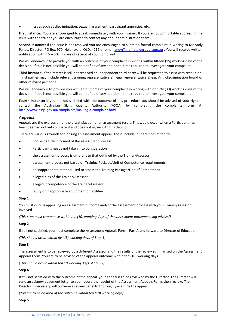issues such as discrimination, sexual harassment, participant amenities, etc.

**First instance:** You are encouraged to speak immediately with your Trainer. If you are not comfortable addressing the issue with the trainer you are encouraged to contact any of our administration team.

**Second instance:** If the issue is not resolved you are encouraged to submit a formal complaint in writing to Mr Andy Panes, Director, PO Box 970, Helensvale, QLD, 4212 or email [andy@thefirstaidgroup.com.au](mailto:andy@thefirstaidgroup.com.au) . You will receive written notification within 5 working days of receipt of your complaint.

We will endeavour to provide you with an outcome of your complaint in writing within fifteen (15) working days of the decision. If this is not possible you will be notified of any additional time required to investigate your complaint.

**Third instance:** If the matter is still not resolved an independent third party will be requested to assist with resolution. Third parties may include relevant training representative(s), legal representative(s) e.g. Anti-discrimination board or other relevant personnel.

We will endeavour to provide you with an outcome of your complaint in writing within thirty (30) working days of the decision. If this is not possible you will be notified of any additional time required to investigate your complaint.

**Fourth instance:** If you are not satisfied with the outcome of this procedure you should be advised of your right to contact the Australian Skills Quality Authority (ASQA) by completing the complaints form at; <http://www.asqa.gov.au/complaints/making-a-complaint.html>

#### *Appeals*

Appeals are the expression of the dissatisfaction of an assessment result. This would occur when a Participant has been deemed not yet competent and does not agree with this decision.

There are various grounds for lodging an assessment appeal. These include, but are not limited to:

- not being fully informed of the assessment process
- Participant's needs not taken into consideration
- the assessment process is different to that outlined by the Trainer/Assessor
- assessment process not based on Training Package/Unit of Competence requirements
- an inappropriate method used to assess the Training Package/Unit of Competence
- alleged bias of the Trainer/Assessor
- alleged incompetence of the Trainer/Assessor
- faulty or inappropriate equipment or facilities

#### **Step 1**

You must discuss appealing an assessment outcome and/or the assessment process with your Trainer/Assessor involved.

*(This step must commence within ten (10) working days of the assessment outcome being advised).* 

#### **Step 2**

If still not satisfied, you must complete the Assessment Appeals Form - Part A and forward to Director of Education

*(This should occur within five (5) working days of Step 1)* 

#### **Step 3**

The assessment is to be reviewed by a different Assessor and the results of the review summarised on the Assessment Appeals Form. You are to be advised of the appeals outcome within ten (10) working days.

*(This should occur within ten 10 working days of Step 2)* 

#### **Step 4**

If still not satisfied with the outcome of the appeal, your appeal is to be reviewed by the Director. The Director will send an acknowledgement letter to you, record the receipt of the Assessment Appeals Form, then review. The Director if necessary will convene a review panel to thoroughly examine the appeal.

*(You are to be advised of the outcome within ten (10) working days).*

**Step 5**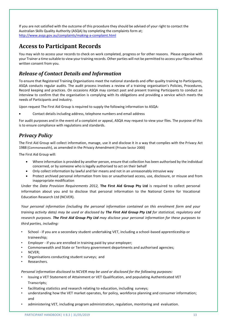If you are not satisfied with the outcome of this procedure they should be advised of your right to contact the Australian Skills Quality Authority (ASQA) by completing the complaints form at; <http://www.asqa.gov.au/complaints/making-a-complaint.html>

## <span id="page-11-0"></span>**Access to Participant Records**

You may wish to access your records to check on work completed, progress or for other reasons. Please organise with your Trainer a time suitable to view your training records. Other parties will not be permitted to access your files without written consent from you.

## <span id="page-11-1"></span>*Release of Contact Details and Information*

To ensure that Registered Training Organisations meet the national standards and offer quality training to Participants, ASQA conducts regular audits. The audit process involves a review of a training organisation's Policies, Procedures, Record keeping and practices. On occasions ASQA may contact past and present training Participants to conduct an interview to confirm that the organisation is complying with its obligations and providing a service which meets the needs of Participants and industry.

Upon request The First Aid Group is required to supply the following information to ASQA:

• Contact details including address, telephone numbers and email address

For audit purposes and in the event of a complaint or appeal, ASQA may request to view your files. The purpose of this is to ensure compliance with regulations and standards.

## <span id="page-11-2"></span>*Privacy Policy*

The First Aid Group will collect information, manage, use it and disclose it in a way that complies with the Privacy Act 1988 (Commonwealth), as amended in the Privacy Amendment (Private Sector 2000)

The First Aid Group will:

- Where information is provided by another person, ensure that collection has been authorised by the individual concerned, or by someone who is legally authorised to act on their behalf
- Only collect information by lawful and fair means and not in an unreasonably intrusive way
- Protect archived personal information from loss or unauthorised access, use, disclosure, or misuse and from inappropriate modification

Under the *Data Provision Requirements 2012,* **The First Aid Group Pty Ltd** is required to collect personal information about you and to disclose that personal information to the National Centre for Vocational Education Research Ltd (NCVER).

*Your personal information (including the personal information contained on this enrolment form and your training activity data) may be used or disclosed by The First Aid Group Pty Ltd for statistical, regulatory and research purposes. The First Aid Group Pty Ltd may disclose your personal information for these purposes to third parties, including:*

- School if you are a secondary student undertaking VET, including a school-based apprenticeship or traineeship;
- Employer if you are enrolled in training paid by your employer;
- Commonwealth and State or Territory government departments and authorised agencies;
- NCVER;
- Organisations conducting student surveys; and
- Researchers.

*Personal information disclosed to NCVER may be used or disclosed for the following purposes:*

- Issuing a VET Statement of Attainment or VET Qualification, and populating Authenticated VET Transcripts;
- facilitating statistics and research relating to education, including surveys;
- understanding how the VET market operates, for policy, workforce planning and consumer information; and
- administering VET, including program administration, regulation, monitoring and evaluation.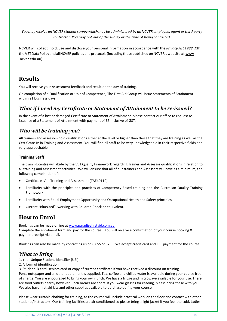*You may receive an NCVER student survey which may be administered by an NCVER employee, agent or third party contractor. You may opt out of the survey at the time of being contacted.*

NCVER will collect, hold, use and disclose your personal information in accordance with the *Privacy Act 1988* (Cth), the VET Data Policy and all NCVER policies and protocols (including those published on NCVER's website at www .ncver.edu.au).

## <span id="page-12-0"></span>**Results**

You will receive your Assessment feedback and result on the day of training.

On completion of a Qualification or Unit of Competence, The First Aid Group will issue Statements of Attainment within 21 business days.

## <span id="page-12-1"></span>*What if I need my Certificate or Statement of Attainment to be re-issued?*

In the event of a lost or damaged Certificate or Statement of Attainment, please contact our office to request reissuance of a Statement of Attainment with payment of \$5 inclusive of GST.

## <span id="page-12-2"></span>*Who will be training you?*

All trainers and assessors hold qualifications either at the level or higher than those that they are training as well as the Certificate IV in Training and Assessment. You will find all staff to be very knowledgeable in their respective fields and very approachable.

#### <span id="page-12-3"></span>**Training Staff**

The training centre will abide by the VET Quality Framework regarding Trainer and Assessor qualifications in relation to all training and assessment activities. We will ensure that all of our trainers and Assessors will have as a minimum, the following combination of:

- Certificate IV in Training and Assessment (TAE40110).
- Familiarity with the principles and practices of Competency-Based training and the Australian Quality Training Framework.
- Familiarity with Equal Employment Opportunity and Occupational Health and Safety principles.
- Current "BlueCard", working with Children Check or equivalent.

## <span id="page-12-4"></span>**How to Enrol**

Bookings can be made online at [www.paradisefirstaid.com.au](http://www.paradisefirstaid.com.au/) 

Complete the enrolment form and pay for the course. You will receive a confirmation of your course booking & payment receipt via email.

Bookings can also be made by contacting us on 07 5572 5299. We accept credit card and EFT payment for the course.

## <span id="page-12-5"></span>*What to Bring*

- 1. Your Unique Student Identifier (USI)
- 2. A form of identification

3. Student ID card, seniors card or copy of current certificate if you have received a discount on training.

Pens, notepaper and all other equipment is supplied. Tea, coffee and chilled water is available during your course free of charge. You are encouraged to bring your own lunch. We have a fridge and microwave available for your use. There are food outlets nearby however lunch breaks are short. If you wear glasses for reading, please bring these with you. We also have first aid kits and other supplies available to purchase during your course.

Please wear suitable clothing for training, as the course will include practical work on the floor and contact with other students/instructors. Our training facilities are air conditioned so please bring a light jacket if you feel the cold. Ladies,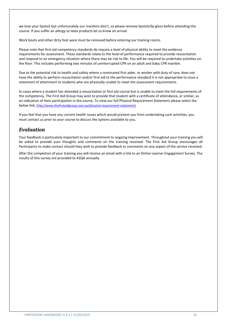we love your lipstick but unfortunately our manikins don't, so please remove lipstick/lip gloss before attending the course. If you suffer an allergy to latex products let us know on arrival.

Work boots and other dirty foot ware must be removed before entering our training rooms.

Please note that first aid competency standards do require a level of physical ability to meet the evidence requirements for assessment. These standards relate to the level of performance required to provide resuscitation and respond to an emergency situation where there may be risk to life. You will be required to undertake activities on the floor. This includes performing two minutes of uninterrupted CPR on an adult and baby CPR manikin.

Due to the potential risk to health and safety where a nominated first aider, or worker with duty of care, does not have the ability to perform resuscitation and/or first aid to the performance standard it is not appropriate to issue a statement of attainment to students who are physically unable to meet the assessment requirements.

In cases where a student has attended a resuscitation or first aid course but is unable to meet the full requirements of the competency, The First Aid Group may wish to provide that student with a certificate of attendance, or similar, as an indication of their participation in the course. To view our full Physical Requirement Statement please select the below link, http://www.thefirstaidgroup.com.au/physical-requirement-statement/

If you feel that you have any current health issues which would prevent you from undertaking such activities, you must contact us prior to your course to discuss the options available to you.

## <span id="page-13-0"></span>*Evaluation*

Your feedback is particularly important to our commitment to ongoing improvement. Throughout your training you will be asked to provide your thoughts and comments on the training received. The First Aid Group encourages all Participants to make contact should they wish to provide feedback or comments on any aspect of the service received.

After the completion of your training you will receive an email with a link to an Online Learner Engagement Survey. The results of this survey are provided to ASQA annually.